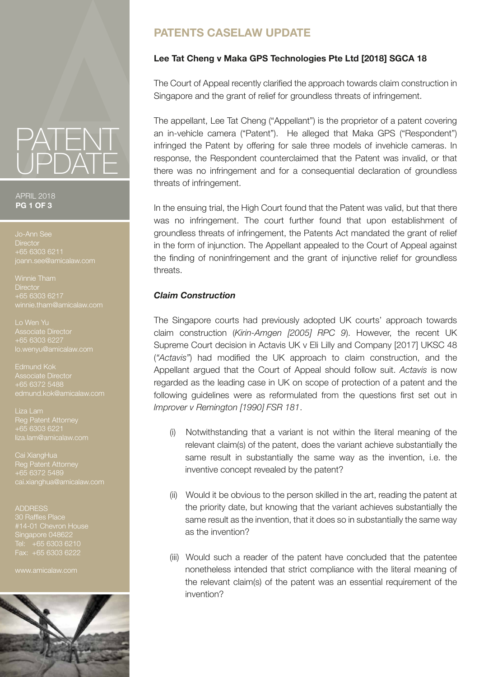# PATENT UPDATE

#### APRIL 2018 **PG 1 OF 3**

**Director** +65 6303 6211 oann.see@amicalaw.com

Winnie Tham **Director** +65 6303 6217 winnie.tham@amicalaw.com

Lo Wen Yu Associate Director +65 6303 6227 lo.wenyu@amicalaw.com

Edmund Kok Associate Director +65 6372 5488

Reg Patent Attorney +65 6303 6221 liza.lam@amicalaw.com

Cai XiangHua Reg Patent Attorney +65 6372 5489 ai.xianghua@amicalaw.com

#### ADDRESS

30 Raffles Place #14-01 Chevron House Singapore 048622 Tel: +65 6303 6210 Fax: +65 6303 6222

www.amicalaw.com



# **PATENTS CASELAW UPDATE**

# **Lee Tat Cheng v Maka GPS Technologies Pte Ltd [2018] SGCA 18**

The Court of Appeal recently clarified the approach towards claim construction in Singapore and the grant of relief for groundless threats of infringement.

The appellant, Lee Tat Cheng ("Appellant") is the proprietor of a patent covering an in-vehicle camera ("Patent"). He alleged that Maka GPS ("Respondent") infringed the Patent by offering for sale three models of invehicle cameras. In response, the Respondent counterclaimed that the Patent was invalid, or that there was no infringement and for a consequential declaration of groundless threats of infringement.

In the ensuing trial, the High Court found that the Patent was valid, but that there was no infringement. The court further found that upon establishment of groundless threats of infringement, the Patents Act mandated the grant of relief in the form of injunction. The Appellant appealed to the Court of Appeal against the finding of noninfringement and the grant of injunctive relief for groundless threats.

## *Claim Construction*

The Singapore courts had previously adopted UK courts' approach towards claim construction (*Kirin-Amgen [2005] RPC 9*). However, the recent UK Supreme Court decision in Actavis UK v Eli Lilly and Company [2017] UKSC 48 (*"Actavis"*) had modified the UK approach to claim construction, and the Appellant argued that the Court of Appeal should follow suit. *Actavis* is now regarded as the leading case in UK on scope of protection of a patent and the following guidelines were as reformulated from the questions first set out in *Improver v Remington [1990] FSR 181*.

- (i) Notwithstanding that a variant is not within the literal meaning of the relevant claim(s) of the patent, does the variant achieve substantially the same result in substantially the same way as the invention, i.e. the inventive concept revealed by the patent?
- (ii) Would it be obvious to the person skilled in the art, reading the patent at the priority date, but knowing that the variant achieves substantially the same result as the invention, that it does so in substantially the same way as the invention?
- (iii) Would such a reader of the patent have concluded that the patentee nonetheless intended that strict compliance with the literal meaning of the relevant claim(s) of the patent was an essential requirement of the invention?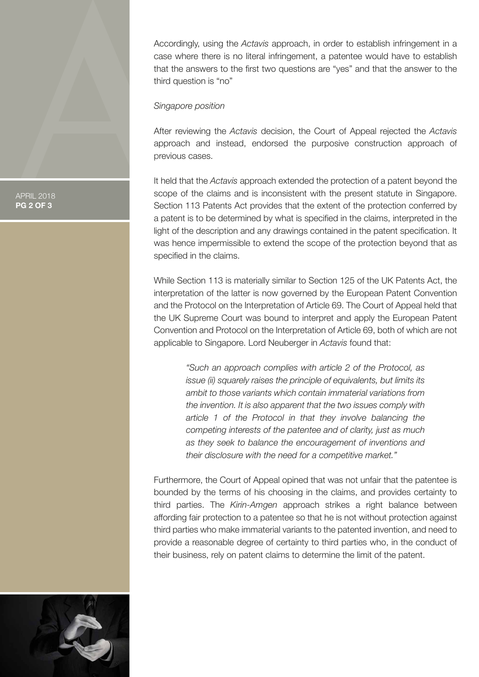Accordingly, using the *Actavis* approach, in order to establish infringement in a case where there is no literal infringement, a patentee would have to establish that the answers to the first two questions are "yes" and that the answer to the third question is "no"

#### *Singapore position*

After reviewing the *Actavis* decision, the Court of Appeal rejected the *Actavis*  approach and instead, endorsed the purposive construction approach of previous cases.

It held that the *Actavis* approach extended the protection of a patent beyond the scope of the claims and is inconsistent with the present statute in Singapore. Section 113 Patents Act provides that the extent of the protection conferred by a patent is to be determined by what is specified in the claims, interpreted in the light of the description and any drawings contained in the patent specification. It was hence impermissible to extend the scope of the protection beyond that as specified in the claims.

While Section 113 is materially similar to Section 125 of the UK Patents Act, the interpretation of the latter is now governed by the European Patent Convention and the Protocol on the Interpretation of Article 69. The Court of Appeal held that the UK Supreme Court was bound to interpret and apply the European Patent Convention and Protocol on the Interpretation of Article 69, both of which are not applicable to Singapore. Lord Neuberger in *Actavis* found that:

> *"Such an approach complies with article 2 of the Protocol, as issue (ii) squarely raises the principle of equivalents, but limits its ambit to those variants which contain immaterial variations from the invention. It is also apparent that the two issues comply with article 1 of the Protocol in that they involve balancing the competing interests of the patentee and of clarity, just as much as they seek to balance the encouragement of inventions and their disclosure with the need for a competitive market."*

Furthermore, the Court of Appeal opined that was not unfair that the patentee is bounded by the terms of his choosing in the claims, and provides certainty to third parties. The *Kirin-Amgen* approach strikes a right balance between affording fair protection to a patentee so that he is not without protection against third parties who make immaterial variants to the patented invention, and need to provide a reasonable degree of certainty to third parties who, in the conduct of their business, rely on patent claims to determine the limit of the patent.



APRIL 2018 **PG 2 OF 3**